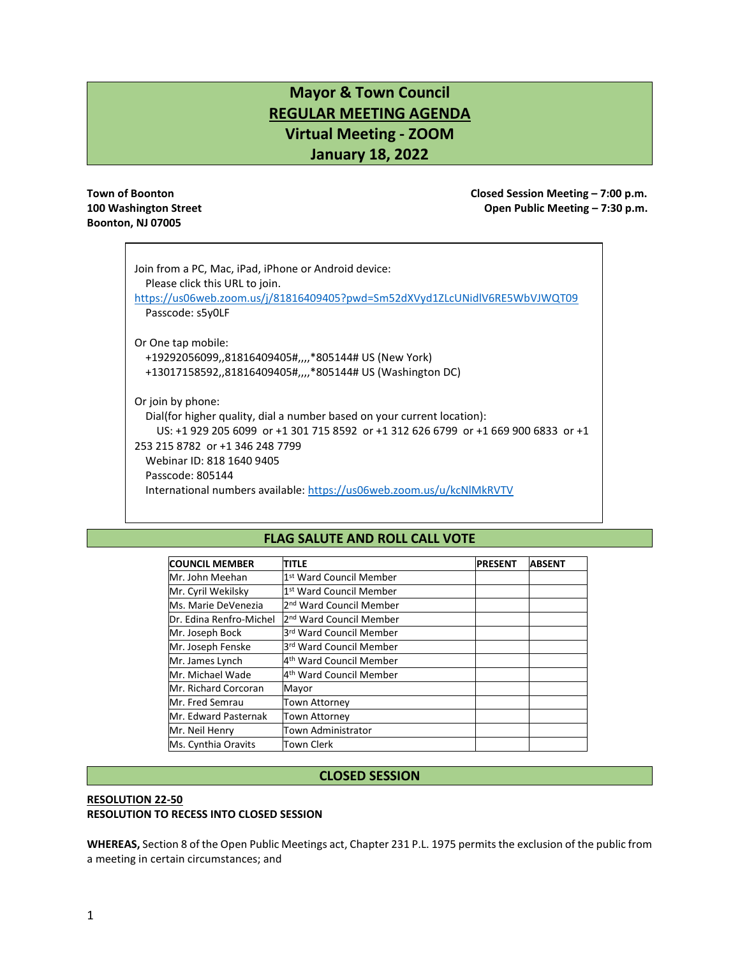# **Mayor & Town Council REGULAR MEETING AGENDA Virtual Meeting - ZOOM January 18, 2022**

# **Boonton, NJ 07005**

**Town of Boonton Closed Session Meeting – 7:00 p.m. 100 Washington Street Open Public Meeting – 7:30 p.m.**

| Join from a PC, Mac, iPad, iPhone or Android device:<br>Please click this URL to join.<br>https://us06web.zoom.us/j/81816409405?pwd=Sm52dXVyd1ZLcUNidlV6RE5WbVJWQT09<br>Passcode: s5y0LF                                                                                                                                                        |
|-------------------------------------------------------------------------------------------------------------------------------------------------------------------------------------------------------------------------------------------------------------------------------------------------------------------------------------------------|
| Or One tap mobile:<br>+19292056099,,81816409405#,,,,*805144# US (New York)<br>+13017158592,,81816409405#,,,,*805144# US (Washington DC)                                                                                                                                                                                                         |
| Or join by phone:<br>Dial(for higher quality, dial a number based on your current location):<br>US: +1 929 205 6099 or +1 301 715 8592 or +1 312 626 6799 or +1 669 900 6833 or +1<br>253 215 8782 or +1 346 248 7799<br>Webinar ID: 818 1640 9405<br>Passcode: 805144<br>International numbers available: https://us06web.zoom.us/u/kcNIMkRVTV |

# **FLAG SALUTE AND ROLL CALL VOTE**

| <b>COUNCIL MEMBER</b>       | <b>PRESENT</b>                      | <b>ABSENT</b> |  |
|-----------------------------|-------------------------------------|---------------|--|
| Mr. John Meehan             | 1st Ward Council Member             |               |  |
| Mr. Cyril Wekilsky          | 1st Ward Council Member             |               |  |
| Ms. Marie DeVenezia         | 2 <sup>nd</sup> Ward Council Member |               |  |
| Dr. Edina Renfro-Michel     | 2 <sup>nd</sup> Ward Council Member |               |  |
| Mr. Joseph Bock             | 3rd Ward Council Member             |               |  |
| Mr. Joseph Fenske           | 3rd Ward Council Member             |               |  |
| Mr. James Lynch             | 4 <sup>th</sup> Ward Council Member |               |  |
| Mr. Michael Wade            | 4 <sup>th</sup> Ward Council Member |               |  |
| <b>Mr. Richard Corcoran</b> | Mayor                               |               |  |
| Mr. Fred Semrau             | Town Attorney                       |               |  |
| Mr. Edward Pasternak        | <b>Town Attorney</b>                |               |  |
| Mr. Neil Henry              | Town Administrator                  |               |  |
| Ms. Cynthia Oravits         | Town Clerk                          |               |  |

# **CLOSED SESSION**

# **RESOLUTION 22-50 RESOLUTION TO RECESS INTO CLOSED SESSION**

**WHEREAS,** Section 8 of the Open Public Meetings act, Chapter 231 P.L. 1975 permits the exclusion of the public from a meeting in certain circumstances; and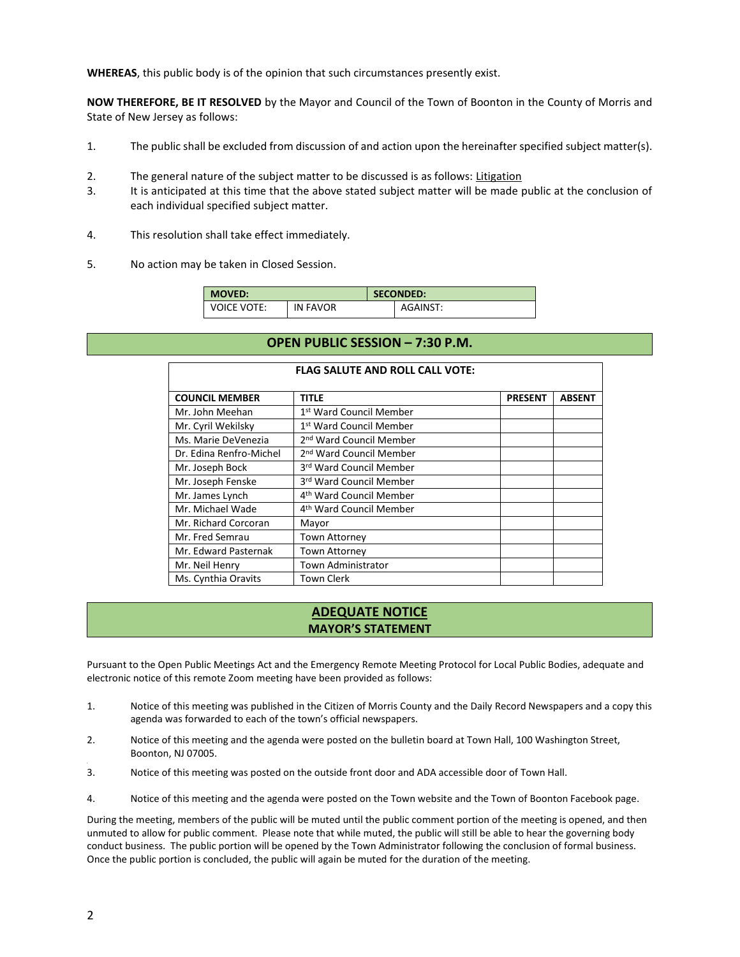**WHEREAS**, this public body is of the opinion that such circumstances presently exist.

**NOW THEREFORE, BE IT RESOLVED** by the Mayor and Council of the Town of Boonton in the County of Morris and State of New Jersey as follows:

- 1. The public shall be excluded from discussion of and action upon the hereinafter specified subject matter(s).
- 2. The general nature of the subject matter to be discussed is as follows: Litigation
- 3. It is anticipated at this time that the above stated subject matter will be made public at the conclusion of each individual specified subject matter.
- 4. This resolution shall take effect immediately.
- 5. No action may be taken in Closed Session.

| <b>MOVED:</b>      |                 | <b>SECONDED:</b> |          |  |
|--------------------|-----------------|------------------|----------|--|
| <b>VOICE VOTE:</b> | <b>IN FAVOR</b> |                  | AGAINST: |  |

# **OPEN PUBLIC SESSION – 7:30 P.M.**

**FLAG SALUTE AND ROLL CALL VOTE:**

| <b>COUNCIL MEMBER</b><br>TITLE<br><b>PRESENT</b>               | <b>ABSENT</b> |
|----------------------------------------------------------------|---------------|
|                                                                |               |
| 1 <sup>st</sup> Ward Council Member<br>Mr. John Meehan         |               |
| Mr. Cyril Wekilsky<br>1st Ward Council Member                  |               |
| 2 <sup>nd</sup> Ward Council Member<br>Ms. Marie DeVenezia     |               |
| Dr. Edina Renfro-Michel<br>2 <sup>nd</sup> Ward Council Member |               |
| 3rd Ward Council Member<br>Mr. Joseph Bock                     |               |
| Mr. Joseph Fenske<br>3rd Ward Council Member                   |               |
| Mr. James Lynch<br>4 <sup>th</sup> Ward Council Member         |               |
| Mr. Michael Wade<br>4 <sup>th</sup> Ward Council Member        |               |
| Mr. Richard Corcoran<br>Mayor                                  |               |
| Mr. Fred Semrau<br>Town Attorney                               |               |
| Mr. Edward Pasternak<br><b>Town Attorney</b>                   |               |
| <b>Town Administrator</b><br>Mr. Neil Henry                    |               |
| Town Clerk<br>Ms. Cynthia Oravits                              |               |

# **ADEQUATE NOTICE MAYOR'S STATEMENT**

Pursuant to the Open Public Meetings Act and the Emergency Remote Meeting Protocol for Local Public Bodies, adequate and electronic notice of this remote Zoom meeting have been provided as follows:

- 1. Notice of this meeting was published in the Citizen of Morris County and the Daily Record Newspapers and a copy this agenda was forwarded to each of the town's official newspapers.
- 2. Notice of this meeting and the agenda were posted on the bulletin board at Town Hall, 100 Washington Street, Boonton, NJ 07005.
- 3. Notice of this meeting was posted on the outside front door and ADA accessible door of Town Hall.
- 4. Notice of this meeting and the agenda were posted on the Town website and the Town of Boonton Facebook page.

During the meeting, members of the public will be muted until the public comment portion of the meeting is opened, and then unmuted to allow for public comment. Please note that while muted, the public will still be able to hear the governing body conduct business. The public portion will be opened by the Town Administrator following the conclusion of formal business. Once the public portion is concluded, the public will again be muted for the duration of the meeting.

,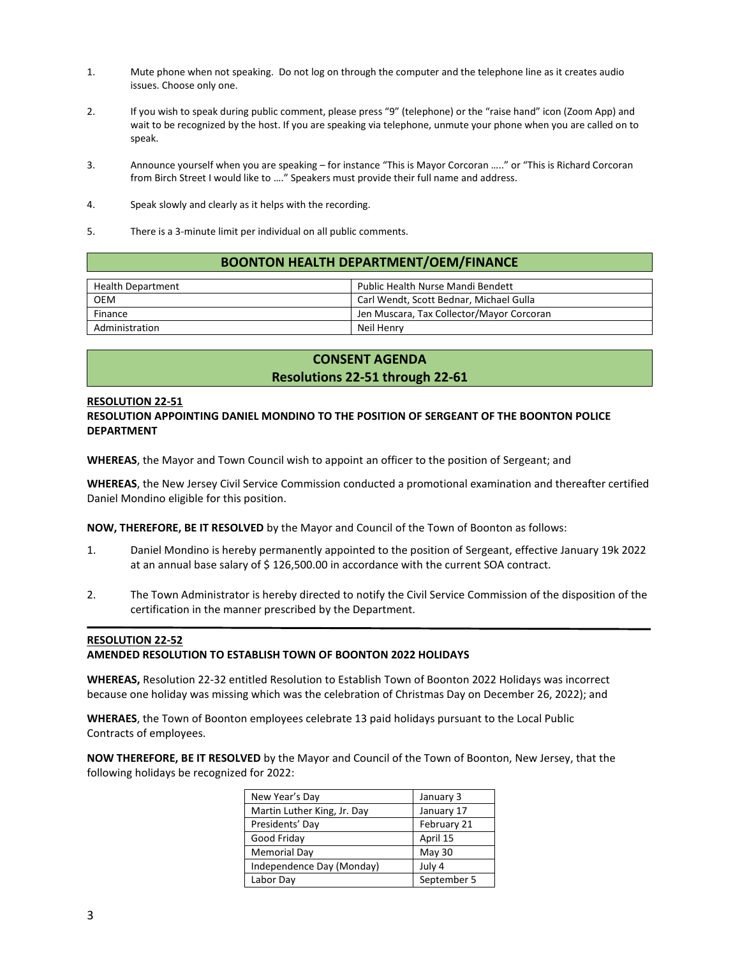- 1. Mute phone when not speaking. Do not log on through the computer and the telephone line as it creates audio issues. Choose only one.
- 2. If you wish to speak during public comment, please press "9" (telephone) or the "raise hand" icon (Zoom App) and wait to be recognized by the host. If you are speaking via telephone, unmute your phone when you are called on to speak.
- 3. Announce yourself when you are speaking for instance "This is Mayor Corcoran ….." or "This is Richard Corcoran from Birch Street I would like to …." Speakers must provide their full name and address.
- 4. Speak slowly and clearly as it helps with the recording.
- 5. There is a 3-minute limit per individual on all public comments.

#### **BOONTON HEALTH DEPARTMENT/OEM/FINANCE**

| <b>Health Department</b> | Public Health Nurse Mandi Bendett         |
|--------------------------|-------------------------------------------|
| <b>OEM</b>               | Carl Wendt, Scott Bednar, Michael Gulla   |
| Finance                  | Jen Muscara, Tax Collector/Mayor Corcoran |
| Administration           | Neil Henry                                |

# **CONSENT AGENDA Resolutions 22-51 through 22-61**

#### **RESOLUTION 22-51**

#### **RESOLUTION APPOINTING DANIEL MONDINO TO THE POSITION OF SERGEANT OF THE BOONTON POLICE DEPARTMENT**

**WHEREAS**, the Mayor and Town Council wish to appoint an officer to the position of Sergeant; and

**WHEREAS**, the New Jersey Civil Service Commission conducted a promotional examination and thereafter certified Daniel Mondino eligible for this position.

**NOW, THEREFORE, BE IT RESOLVED** by the Mayor and Council of the Town of Boonton as follows:

- 1. Daniel Mondino is hereby permanently appointed to the position of Sergeant, effective January 19k 2022 at an annual base salary of \$126,500.00 in accordance with the current SOA contract.
- 2. The Town Administrator is hereby directed to notify the Civil Service Commission of the disposition of the certification in the manner prescribed by the Department.

#### **RESOLUTION 22-52**

#### **AMENDED RESOLUTION TO ESTABLISH TOWN OF BOONTON 2022 HOLIDAYS**

**WHEREAS,** Resolution 22-32 entitled Resolution to Establish Town of Boonton 2022 Holidays was incorrect because one holiday was missing which was the celebration of Christmas Day on December 26, 2022); and

**WHERAES**, the Town of Boonton employees celebrate 13 paid holidays pursuant to the Local Public Contracts of employees.

**NOW THEREFORE, BE IT RESOLVED** by the Mayor and Council of the Town of Boonton, New Jersey, that the following holidays be recognized for 2022:

| New Year's Day              | January 3   |
|-----------------------------|-------------|
| Martin Luther King, Jr. Day | January 17  |
| Presidents' Day             | February 21 |
| Good Friday                 | April 15    |
| Memorial Day                | May 30      |
| Independence Day (Monday)   | July 4      |
| Labor Day                   | September 5 |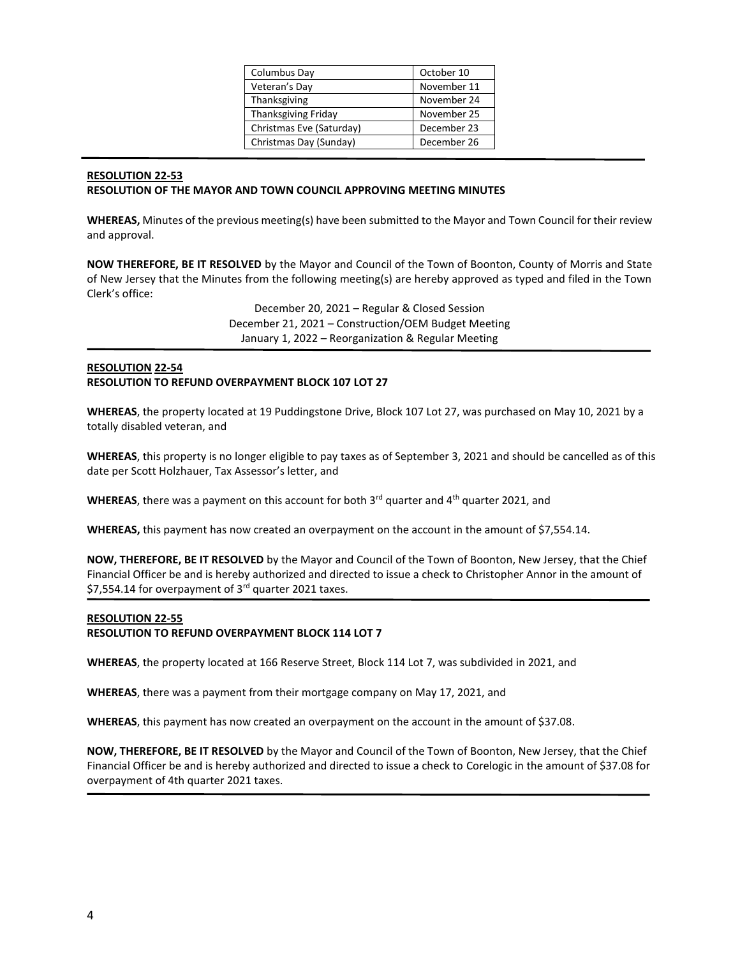| Columbus Day               | October 10  |
|----------------------------|-------------|
| Veteran's Day              | November 11 |
| Thanksgiving               | November 24 |
| <b>Thanksgiving Friday</b> | November 25 |
| Christmas Eve (Saturday)   | December 23 |
| Christmas Day (Sunday)     | December 26 |
|                            |             |

# **RESOLUTION 22-53 RESOLUTION OF THE MAYOR AND TOWN COUNCIL APPROVING MEETING MINUTES**

**WHEREAS,** Minutes of the previous meeting(s) have been submitted to the Mayor and Town Council for their review and approval.

**NOW THEREFORE, BE IT RESOLVED** by the Mayor and Council of the Town of Boonton, County of Morris and State of New Jersey that the Minutes from the following meeting(s) are hereby approved as typed and filed in the Town Clerk's office:

> December 20, 2021 – Regular & Closed Session December 21, 2021 – Construction/OEM Budget Meeting January 1, 2022 – Reorganization & Regular Meeting

# **RESOLUTION 22-54 RESOLUTION TO REFUND OVERPAYMENT BLOCK 107 LOT 27**

**WHEREAS**, the property located at 19 Puddingstone Drive, Block 107 Lot 27, was purchased on May 10, 2021 by a totally disabled veteran, and

**WHEREAS**, this property is no longer eligible to pay taxes as of September 3, 2021 and should be cancelled as of this date per Scott Holzhauer, Tax Assessor's letter, and

**WHEREAS**, there was a payment on this account for both  $3^{rd}$  quarter and  $4^{th}$  quarter 2021, and

**WHEREAS,** this payment has now created an overpayment on the account in the amount of \$7,554.14.

**NOW, THEREFORE, BE IT RESOLVED** by the Mayor and Council of the Town of Boonton, New Jersey, that the Chief Financial Officer be and is hereby authorized and directed to issue a check to Christopher Annor in the amount of \$7,554.14 for overpayment of 3rd quarter 2021 taxes.

#### **RESOLUTION 22-55**

#### **RESOLUTION TO REFUND OVERPAYMENT BLOCK 114 LOT 7**

**WHEREAS**, the property located at 166 Reserve Street, Block 114 Lot 7, was subdivided in 2021, and

**WHEREAS**, there was a payment from their mortgage company on May 17, 2021, and

**WHEREAS**, this payment has now created an overpayment on the account in the amount of \$37.08.

**NOW, THEREFORE, BE IT RESOLVED** by the Mayor and Council of the Town of Boonton, New Jersey, that the Chief Financial Officer be and is hereby authorized and directed to issue a check to Corelogic in the amount of \$37.08 for overpayment of 4th quarter 2021 taxes.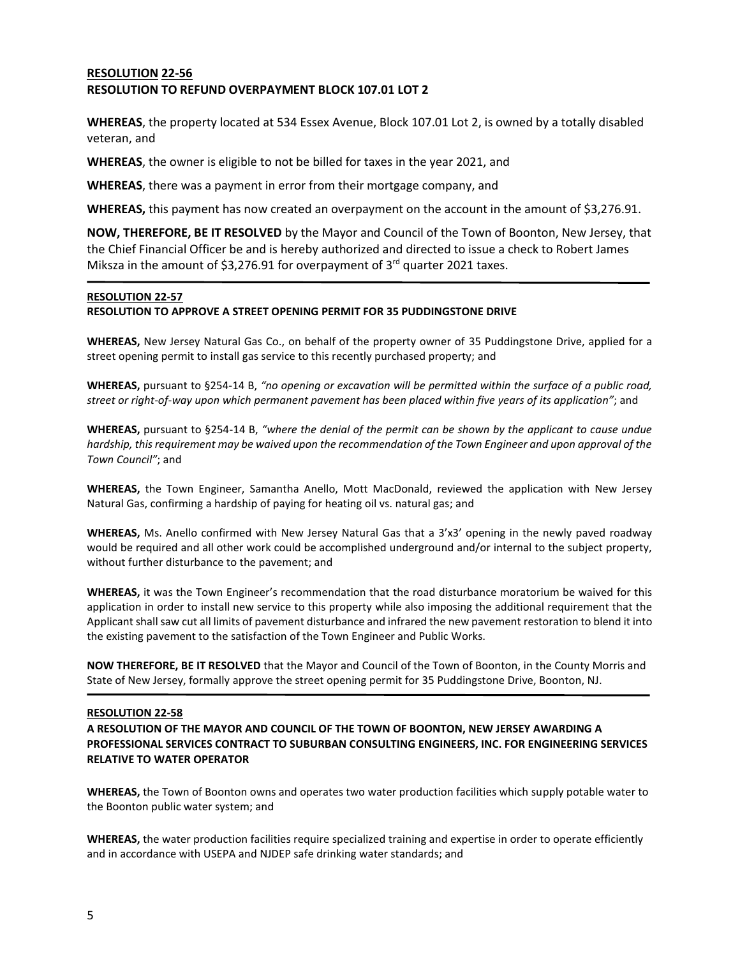# **RESOLUTION 22-56 RESOLUTION TO REFUND OVERPAYMENT BLOCK 107.01 LOT 2**

**WHEREAS**, the property located at 534 Essex Avenue, Block 107.01 Lot 2, is owned by a totally disabled veteran, and

**WHEREAS**, the owner is eligible to not be billed for taxes in the year 2021, and

**WHEREAS**, there was a payment in error from their mortgage company, and

**WHEREAS,** this payment has now created an overpayment on the account in the amount of \$3,276.91.

**NOW, THEREFORE, BE IT RESOLVED** by the Mayor and Council of the Town of Boonton, New Jersey, that the Chief Financial Officer be and is hereby authorized and directed to issue a check to Robert James Miksza in the amount of \$3,276.91 for overpayment of 3<sup>rd</sup> quarter 2021 taxes.

#### **RESOLUTION 22-57**

# **RESOLUTION TO APPROVE A STREET OPENING PERMIT FOR 35 PUDDINGSTONE DRIVE**

**WHEREAS,** New Jersey Natural Gas Co., on behalf of the property owner of 35 Puddingstone Drive, applied for a street opening permit to install gas service to this recently purchased property; and

**WHEREAS,** pursuant to §254-14 B, *"no opening or excavation will be permitted within the surface of a public road, street or right-of-way upon which permanent pavement has been placed within five years of its application"*; and

**WHEREAS,** pursuant to §254-14 B, *"where the denial of the permit can be shown by the applicant to cause undue hardship, this requirement may be waived upon the recommendation of the Town Engineer and upon approval of the Town Council"*; and

**WHEREAS,** the Town Engineer, Samantha Anello, Mott MacDonald, reviewed the application with New Jersey Natural Gas, confirming a hardship of paying for heating oil vs. natural gas; and

**WHEREAS,** Ms. Anello confirmed with New Jersey Natural Gas that a 3'x3' opening in the newly paved roadway would be required and all other work could be accomplished underground and/or internal to the subject property, without further disturbance to the pavement; and

**WHEREAS,** it was the Town Engineer's recommendation that the road disturbance moratorium be waived for this application in order to install new service to this property while also imposing the additional requirement that the Applicant shall saw cut all limits of pavement disturbance and infrared the new pavement restoration to blend it into the existing pavement to the satisfaction of the Town Engineer and Public Works.

**NOW THEREFORE, BE IT RESOLVED** that the Mayor and Council of the Town of Boonton, in the County Morris and State of New Jersey, formally approve the street opening permit for 35 Puddingstone Drive, Boonton, NJ.

#### **RESOLUTION 22-58**

**A RESOLUTION OF THE MAYOR AND COUNCIL OF THE TOWN OF BOONTON, NEW JERSEY AWARDING A PROFESSIONAL SERVICES CONTRACT TO SUBURBAN CONSULTING ENGINEERS, INC. FOR ENGINEERING SERVICES RELATIVE TO WATER OPERATOR**

**WHEREAS,** the Town of Boonton owns and operates two water production facilities which supply potable water to the Boonton public water system; and

**WHEREAS,** the water production facilities require specialized training and expertise in order to operate efficiently and in accordance with USEPA and NJDEP safe drinking water standards; and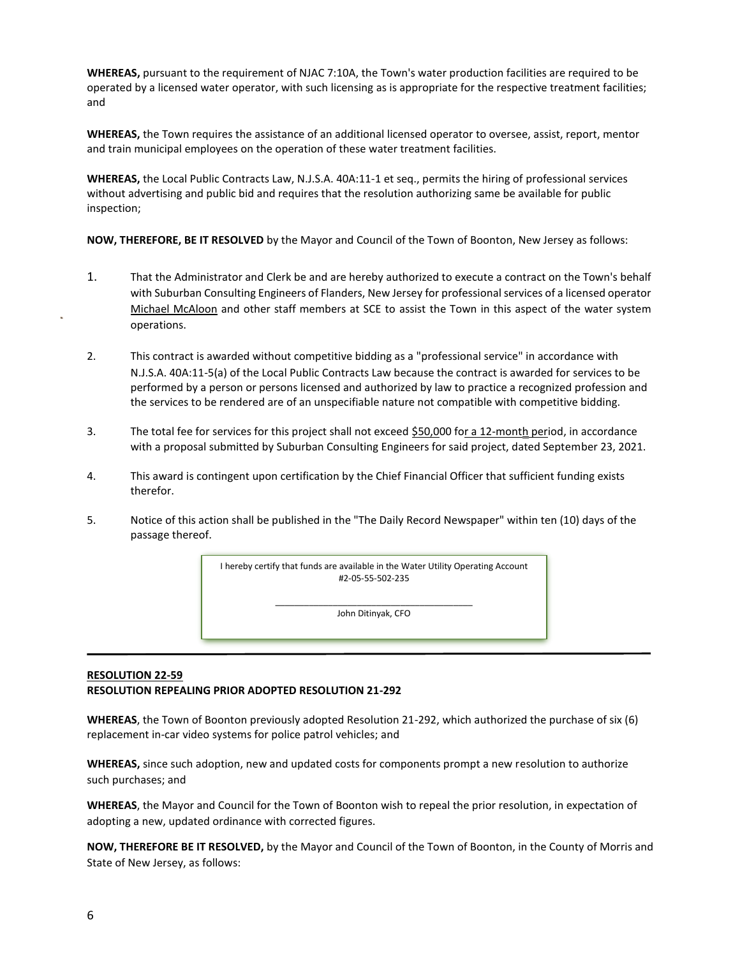**WHEREAS,** pursuant to the requirement of NJAC 7:10A, the Town's water production facilities are required to be operated by a licensed water operator, with such licensing as is appropriate for the respective treatment facilities; and

**WHEREAS,** the Town requires the assistance of an additional licensed operator to oversee, assist, report, mentor and train municipal employees on the operation of these water treatment facilities.

**WHEREAS,** the Local Public Contracts Law, N.J.S.A. 40A:11-1 et seq., permits the hiring of professional services without advertising and public bid and requires that the resolution authorizing same be available for public inspection;

**NOW, THEREFORE, BE IT RESOLVED** by the Mayor and Council of the Town of Boonton, New Jersey as follows:

- 1. That the Administrator and Clerk be and are hereby authorized to execute a contract on the Town's behalf with Suburban Consulting Engineers of Flanders, New Jersey for professional services of a licensed operator Michael McAloon and other staff members at SCE to assist the Town in this aspect of the water system operations.
- 2. This contract is awarded without competitive bidding as a "professional service" in accordance with N.J.S.A. 40A:11-5(a) of the Local Public Contracts Law because the contract is awarded for services to be performed by a person or persons licensed and authorized by law to practice a recognized profession and the services to be rendered are of an unspecifiable nature not compatible with competitive bidding.
- 3. The total fee for services for this project shall not exceed \$50,000 for a 12-month period, in accordance with a proposal submitted by Suburban Consulting Engineers for said project, dated September 23, 2021.
- 4. This award is contingent upon certification by the Chief Financial Officer that sufficient funding exists therefor.
- 5. Notice of this action shall be published in the "The Daily Record Newspaper" within ten (10) days of the passage thereof.

I hereby certify that funds are available in the Water Utility Operating Account #2-05-55-502-235

> \_\_\_\_\_\_\_\_\_\_\_\_\_\_\_\_\_\_\_\_\_\_\_\_\_\_\_\_\_\_\_\_\_\_\_\_\_\_\_\_\_ John Ditinyak, CFO

# **RESOLUTION 22-59 RESOLUTION REPEALING PRIOR ADOPTED RESOLUTION 21-292**

**WHEREAS**, the Town of Boonton previously adopted Resolution 21-292, which authorized the purchase of six (6) replacement in-car video systems for police patrol vehicles; and

**WHEREAS,** since such adoption, new and updated costs for components prompt a new resolution to authorize such purchases; and

**WHEREAS**, the Mayor and Council for the Town of Boonton wish to repeal the prior resolution, in expectation of adopting a new, updated ordinance with corrected figures.

**NOW, THEREFORE BE IT RESOLVED,** by the Mayor and Council of the Town of Boonton, in the County of Morris and State of New Jersey, as follows: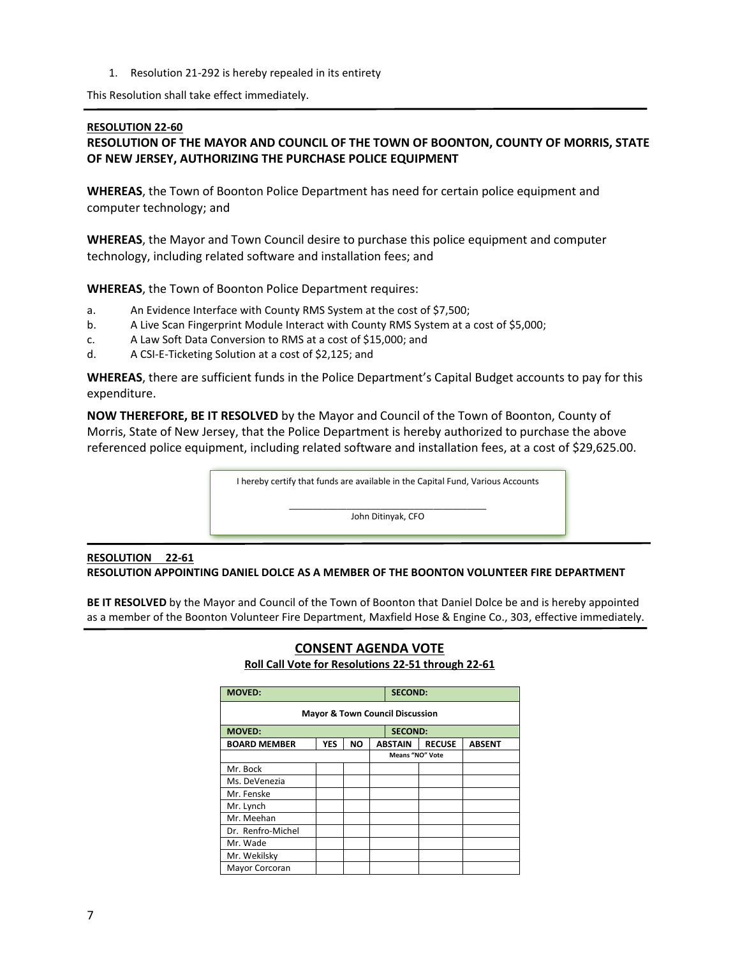1. Resolution 21-292 is hereby repealed in its entirety

This Resolution shall take effect immediately.

#### **RESOLUTION 22-60**

# **RESOLUTION OF THE MAYOR AND COUNCIL OF THE TOWN OF BOONTON, COUNTY OF MORRIS, STATE OF NEW JERSEY, AUTHORIZING THE PURCHASE POLICE EQUIPMENT**

**WHEREAS**, the Town of Boonton Police Department has need for certain police equipment and computer technology; and

**WHEREAS**, the Mayor and Town Council desire to purchase this police equipment and computer technology, including related software and installation fees; and

**WHEREAS**, the Town of Boonton Police Department requires:

- a. An Evidence Interface with County RMS System at the cost of \$7,500;
- b. A Live Scan Fingerprint Module Interact with County RMS System at a cost of \$5,000;
- c. A Law Soft Data Conversion to RMS at a cost of \$15,000; and
- d. A CSI-E-Ticketing Solution at a cost of \$2,125; and

**WHEREAS**, there are sufficient funds in the Police Department's Capital Budget accounts to pay for this expenditure.

**NOW THEREFORE, BE IT RESOLVED** by the Mayor and Council of the Town of Boonton, County of Morris, State of New Jersey, that the Police Department is hereby authorized to purchase the above referenced police equipment, including related software and installation fees, at a cost of \$29,625.00.

I hereby certify that funds are available in the Capital Fund, Various Accounts

\_\_\_\_\_\_\_\_\_\_\_\_\_\_\_\_\_\_\_\_\_\_\_\_\_\_\_\_\_\_\_\_\_\_\_\_\_\_\_\_\_ John Ditinyak, CFO

# **RESOLUTION 22-61 RESOLUTION APPOINTING DANIEL DOLCE AS A MEMBER OF THE BOONTON VOLUNTEER FIRE DEPARTMENT**

**BE IT RESOLVED** by the Mayor and Council of the Town of Boonton that Daniel Dolce be and is hereby appointed as a member of the Boonton Volunteer Fire Department, Maxfield Hose & Engine Co., 303, effective immediately.

| <b>MOVED:</b>                              |            | <b>SECOND:</b> |                |                        |               |  |  |  |  |
|--------------------------------------------|------------|----------------|----------------|------------------------|---------------|--|--|--|--|
| <b>Mayor &amp; Town Council Discussion</b> |            |                |                |                        |               |  |  |  |  |
| <b>MOVED:</b>                              |            | <b>SECOND:</b> |                |                        |               |  |  |  |  |
| <b>BOARD MEMBER</b>                        | <b>YES</b> | NO             | <b>ABSTAIN</b> | <b>RECUSE</b>          | <b>ABSENT</b> |  |  |  |  |
|                                            |            |                |                | <b>Means "NO" Vote</b> |               |  |  |  |  |
| Mr. Bock                                   |            |                |                |                        |               |  |  |  |  |
| Ms. DeVenezia                              |            |                |                |                        |               |  |  |  |  |
| Mr. Fenske                                 |            |                |                |                        |               |  |  |  |  |
| Mr. Lynch                                  |            |                |                |                        |               |  |  |  |  |
| Mr. Meehan                                 |            |                |                |                        |               |  |  |  |  |
| Dr. Renfro-Michel                          |            |                |                |                        |               |  |  |  |  |
| Mr. Wade                                   |            |                |                |                        |               |  |  |  |  |
| Mr. Wekilsky                               |            |                |                |                        |               |  |  |  |  |
| Mayor Corcoran                             |            |                |                |                        |               |  |  |  |  |

# **CONSENT AGENDA VOTE Roll Call Vote for Resolutions 22-51 through 22-61**